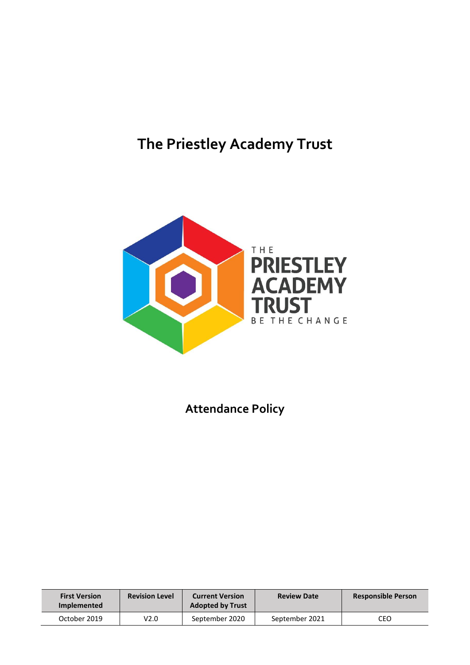# **The Priestley Academy Trust**



**Attendance Policy**

| <b>First Version</b><br>Implemented | <b>Revision Level</b> | <b>Current Version</b><br><b>Adopted by Trust</b> | <b>Review Date</b> | <b>Responsible Person</b> |  |
|-------------------------------------|-----------------------|---------------------------------------------------|--------------------|---------------------------|--|
| October 2019                        | V2.0                  | September 2020                                    | September 2021     | CEO                       |  |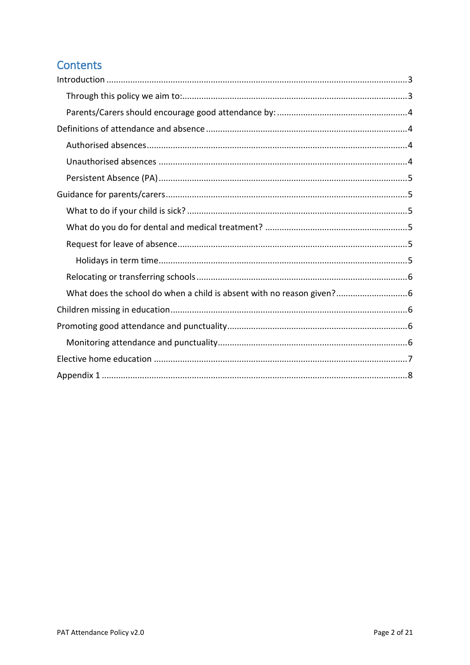# **Contents**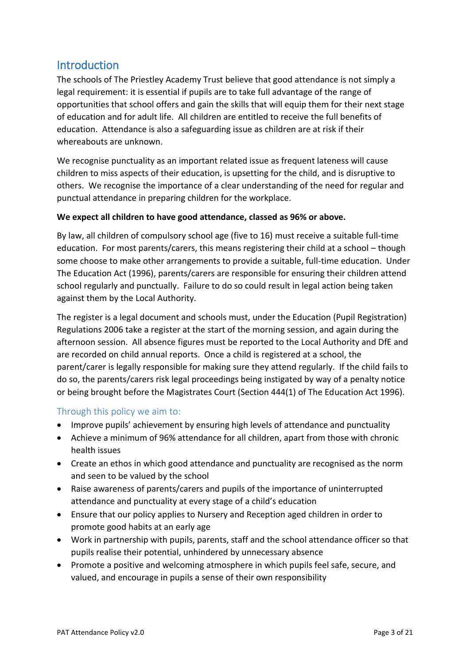# <span id="page-2-0"></span>**Introduction**

The schools of The Priestley Academy Trust believe that good attendance is not simply a legal requirement: it is essential if pupils are to take full advantage of the range of opportunities that school offers and gain the skills that will equip them for their next stage of education and for adult life. All children are entitled to receive the full benefits of education. Attendance is also a safeguarding issue as children are at risk if their whereabouts are unknown.

We recognise punctuality as an important related issue as frequent lateness will cause children to miss aspects of their education, is upsetting for the child, and is disruptive to others. We recognise the importance of a clear understanding of the need for regular and punctual attendance in preparing children for the workplace.

### **We expect all children to have good attendance, classed as 96% or above.**

By law, all children of compulsory school age (five to 16) must receive a suitable full-time education. For most parents/carers, this means registering their child at a school – though some choose to make other arrangements to provide a suitable, full-time education. Under The Education Act (1996), parents/carers are responsible for ensuring their children attend school regularly and punctually. Failure to do so could result in legal action being taken against them by the Local Authority.

The register is a legal document and schools must, under the Education (Pupil Registration) Regulations 2006 take a register at the start of the morning session, and again during the afternoon session. All absence figures must be reported to the Local Authority and DfE and are recorded on child annual reports. Once a child is registered at a school, the parent/carer is legally responsible for making sure they attend regularly. If the child fails to do so, the parents/carers risk legal proceedings being instigated by way of a penalty notice or being brought before the Magistrates Court (Section 444(1) of The Education Act 1996).

# <span id="page-2-1"></span>Through this policy we aim to:

- Improve pupils' achievement by ensuring high levels of attendance and punctuality
- Achieve a minimum of 96% attendance for all children, apart from those with chronic health issues
- Create an ethos in which good attendance and punctuality are recognised as the norm and seen to be valued by the school
- Raise awareness of parents/carers and pupils of the importance of uninterrupted attendance and punctuality at every stage of a child's education
- Ensure that our policy applies to Nursery and Reception aged children in order to promote good habits at an early age
- Work in partnership with pupils, parents, staff and the school attendance officer so that pupils realise their potential, unhindered by unnecessary absence
- Promote a positive and welcoming atmosphere in which pupils feel safe, secure, and valued, and encourage in pupils a sense of their own responsibility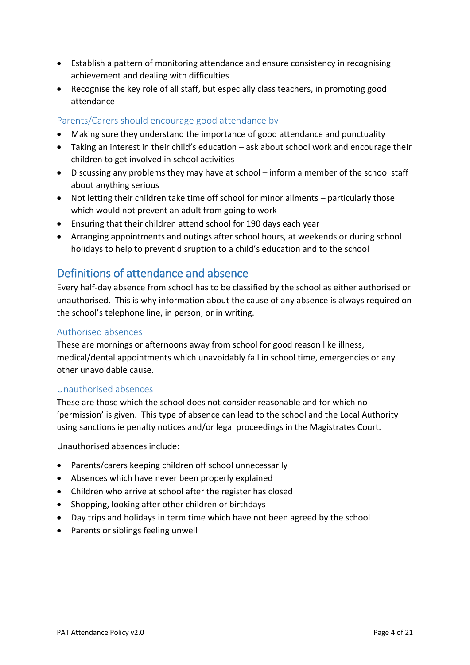- Establish a pattern of monitoring attendance and ensure consistency in recognising achievement and dealing with difficulties
- Recognise the key role of all staff, but especially class teachers, in promoting good attendance

# <span id="page-3-0"></span>Parents/Carers should encourage good attendance by:

- Making sure they understand the importance of good attendance and punctuality
- Taking an interest in their child's education ask about school work and encourage their children to get involved in school activities
- Discussing any problems they may have at school inform a member of the school staff about anything serious
- Not letting their children take time off school for minor ailments particularly those which would not prevent an adult from going to work
- Ensuring that their children attend school for 190 days each year
- Arranging appointments and outings after school hours, at weekends or during school holidays to help to prevent disruption to a child's education and to the school

# <span id="page-3-1"></span>Definitions of attendance and absence

Every half-day absence from school has to be classified by the school as either authorised or unauthorised. This is why information about the cause of any absence is always required on the school's telephone line, in person, or in writing.

### <span id="page-3-2"></span>Authorised absences

These are mornings or afternoons away from school for good reason like illness, medical/dental appointments which unavoidably fall in school time, emergencies or any other unavoidable cause.

#### <span id="page-3-3"></span>Unauthorised absences

These are those which the school does not consider reasonable and for which no 'permission' is given. This type of absence can lead to the school and the Local Authority using sanctions ie penalty notices and/or legal proceedings in the Magistrates Court.

Unauthorised absences include:

- Parents/carers keeping children off school unnecessarily
- Absences which have never been properly explained
- Children who arrive at school after the register has closed
- Shopping, looking after other children or birthdays
- Day trips and holidays in term time which have not been agreed by the school
- Parents or siblings feeling unwell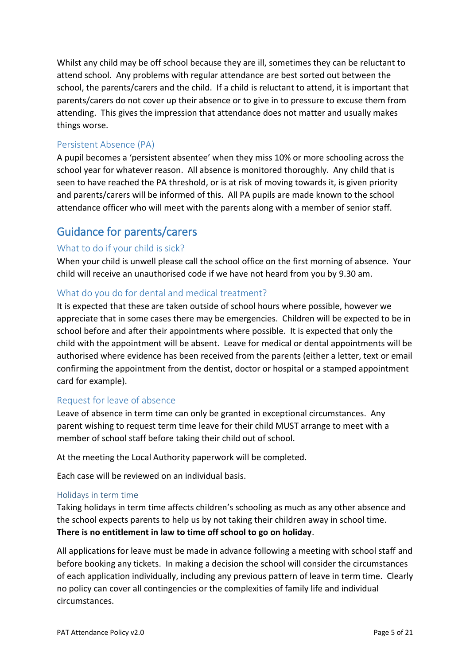Whilst any child may be off school because they are ill, sometimes they can be reluctant to attend school. Any problems with regular attendance are best sorted out between the school, the parents/carers and the child. If a child is reluctant to attend, it is important that parents/carers do not cover up their absence or to give in to pressure to excuse them from attending. This gives the impression that attendance does not matter and usually makes things worse.

# <span id="page-4-0"></span>Persistent Absence (PA)

A pupil becomes a 'persistent absentee' when they miss 10% or more schooling across the school year for whatever reason. All absence is monitored thoroughly. Any child that is seen to have reached the PA threshold, or is at risk of moving towards it, is given priority and parents/carers will be informed of this. All PA pupils are made known to the school attendance officer who will meet with the parents along with a member of senior staff.

# <span id="page-4-1"></span>Guidance for parents/carers

# <span id="page-4-2"></span>What to do if your child is sick?

When your child is unwell please call the school office on the first morning of absence. Your child will receive an unauthorised code if we have not heard from you by 9.30 am.

# <span id="page-4-3"></span>What do you do for dental and medical treatment?

It is expected that these are taken outside of school hours where possible, however we appreciate that in some cases there may be emergencies. Children will be expected to be in school before and after their appointments where possible. It is expected that only the child with the appointment will be absent. Leave for medical or dental appointments will be authorised where evidence has been received from the parents (either a letter, text or email confirming the appointment from the dentist, doctor or hospital or a stamped appointment card for example).

# <span id="page-4-4"></span>Request for leave of absence

Leave of absence in term time can only be granted in exceptional circumstances. Any parent wishing to request term time leave for their child MUST arrange to meet with a member of school staff before taking their child out of school.

At the meeting the Local Authority paperwork will be completed.

Each case will be reviewed on an individual basis.

#### <span id="page-4-5"></span>Holidays in term time

Taking holidays in term time affects children's schooling as much as any other absence and the school expects parents to help us by not taking their children away in school time. **There is no entitlement in law to time off school to go on holiday**.

All applications for leave must be made in advance following a meeting with school staff and before booking any tickets. In making a decision the school will consider the circumstances of each application individually, including any previous pattern of leave in term time. Clearly no policy can cover all contingencies or the complexities of family life and individual circumstances.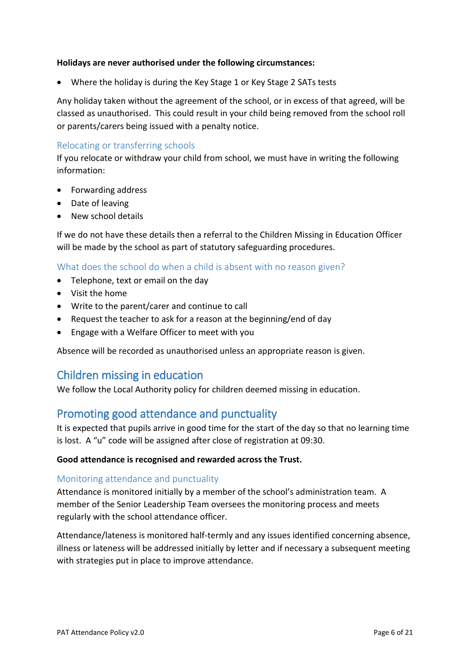#### **Holidays are never authorised under the following circumstances:**

• Where the holiday is during the Key Stage 1 or Key Stage 2 SATs tests

Any holiday taken without the agreement of the school, or in excess of that agreed, will be classed as unauthorised. This could result in your child being removed from the school roll or parents/carers being issued with a penalty notice.

### <span id="page-5-0"></span>Relocating or transferring schools

If you relocate or withdraw your child from school, we must have in writing the following information:

- Forwarding address
- Date of leaving
- New school details

If we do not have these details then a referral to the Children Missing in Education Officer will be made by the school as part of statutory safeguarding procedures.

#### <span id="page-5-1"></span>What does the school do when a child is absent with no reason given?

- Telephone, text or email on the day
- Visit the home
- Write to the parent/carer and continue to call
- Request the teacher to ask for a reason at the beginning/end of day
- Engage with a Welfare Officer to meet with you

Absence will be recorded as unauthorised unless an appropriate reason is given.

# <span id="page-5-2"></span>Children missing in education

We follow the Local Authority policy for children deemed missing in education.

# <span id="page-5-3"></span>Promoting good attendance and punctuality

It is expected that pupils arrive in good time for the start of the day so that no learning time is lost. A "u" code will be assigned after close of registration at 09:30.

#### **Good attendance is recognised and rewarded across the Trust.**

#### <span id="page-5-4"></span>Monitoring attendance and punctuality

Attendance is monitored initially by a member of the school's administration team. A member of the Senior Leadership Team oversees the monitoring process and meets regularly with the school attendance officer.

Attendance/lateness is monitored half-termly and any issues identified concerning absence, illness or lateness will be addressed initially by letter and if necessary a subsequent meeting with strategies put in place to improve attendance.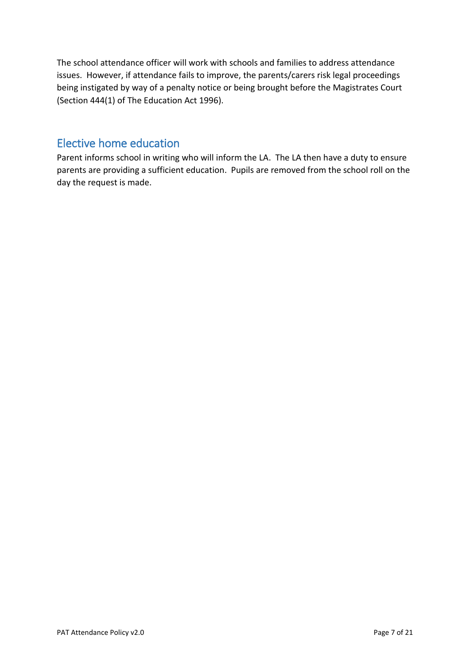The school attendance officer will work with schools and families to address attendance issues. However, if attendance fails to improve, the parents/carers risk legal proceedings being instigated by way of a penalty notice or being brought before the Magistrates Court (Section 444(1) of The Education Act 1996).

# <span id="page-6-0"></span>Elective home education

Parent informs school in writing who will inform the LA. The LA then have a duty to ensure parents are providing a sufficient education. Pupils are removed from the school roll on the day the request is made.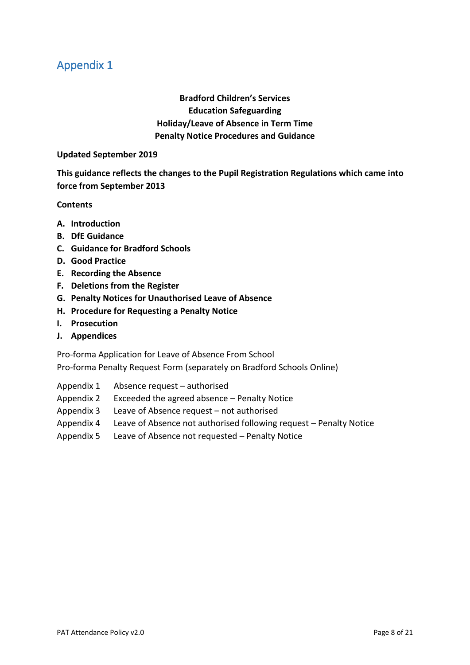**Bradford Children's Services Education Safeguarding Holiday/Leave of Absence in Term Time Penalty Notice Procedures and Guidance**

#### <span id="page-7-0"></span>**Updated September 2019**

**This guidance reflects the changes to the Pupil Registration Regulations which came into force from September 2013**

#### **Contents**

- **A. Introduction**
- **B. DfE Guidance**
- **C. Guidance for Bradford Schools**
- **D. Good Practice**
- **E. Recording the Absence**
- **F. Deletions from the Register**
- **G. Penalty Notices for Unauthorised Leave of Absence**
- **H. Procedure for Requesting a Penalty Notice**
- **I. Prosecution**
- **J. Appendices**

Pro-forma Application for Leave of Absence From School

Pro-forma Penalty Request Form (separately on Bradford Schools Online)

- Appendix 1 Absence request authorised
- Appendix 2 Exceeded the agreed absence Penalty Notice
- Appendix 3 Leave of Absence request not authorised
- Appendix 4 Leave of Absence not authorised following request Penalty Notice
- Appendix 5 Leave of Absence not requested Penalty Notice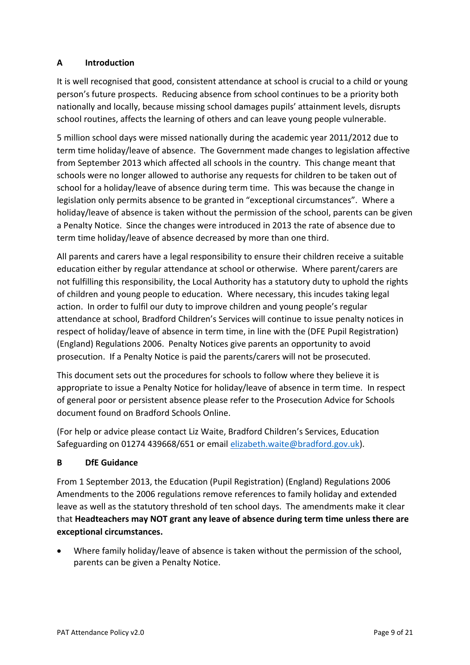# **A Introduction**

It is well recognised that good, consistent attendance at school is crucial to a child or young person's future prospects. Reducing absence from school continues to be a priority both nationally and locally, because missing school damages pupils' attainment levels, disrupts school routines, affects the learning of others and can leave young people vulnerable.

5 million school days were missed nationally during the academic year 2011/2012 due to term time holiday/leave of absence. The Government made changes to legislation affective from September 2013 which affected all schools in the country. This change meant that schools were no longer allowed to authorise any requests for children to be taken out of school for a holiday/leave of absence during term time. This was because the change in legislation only permits absence to be granted in "exceptional circumstances". Where a holiday/leave of absence is taken without the permission of the school, parents can be given a Penalty Notice. Since the changes were introduced in 2013 the rate of absence due to term time holiday/leave of absence decreased by more than one third.

All parents and carers have a legal responsibility to ensure their children receive a suitable education either by regular attendance at school or otherwise. Where parent/carers are not fulfilling this responsibility, the Local Authority has a statutory duty to uphold the rights of children and young people to education. Where necessary, this incudes taking legal action. In order to fulfil our duty to improve children and young people's regular attendance at school, Bradford Children's Services will continue to issue penalty notices in respect of holiday/leave of absence in term time, in line with the (DFE Pupil Registration) (England) Regulations 2006. Penalty Notices give parents an opportunity to avoid prosecution. If a Penalty Notice is paid the parents/carers will not be prosecuted.

This document sets out the procedures for schools to follow where they believe it is appropriate to issue a Penalty Notice for holiday/leave of absence in term time. In respect of general poor or persistent absence please refer to the Prosecution Advice for Schools document found on Bradford Schools Online.

(For help or advice please contact Liz Waite, Bradford Children's Services, Education Safeguarding on 01274 439668/651 or email [elizabeth.waite@bradford.gov.uk\)](mailto:elizabeth.waite@bradford.gov.uk).

# **B DfE Guidance**

From 1 September 2013, the Education (Pupil Registration) (England) Regulations 2006 Amendments to the 2006 regulations remove references to family holiday and extended leave as well as the statutory threshold of ten school days. The amendments make it clear that **Headteachers may NOT grant any leave of absence during term time unless there are exceptional circumstances.** 

• Where family holiday/leave of absence is taken without the permission of the school, parents can be given a Penalty Notice.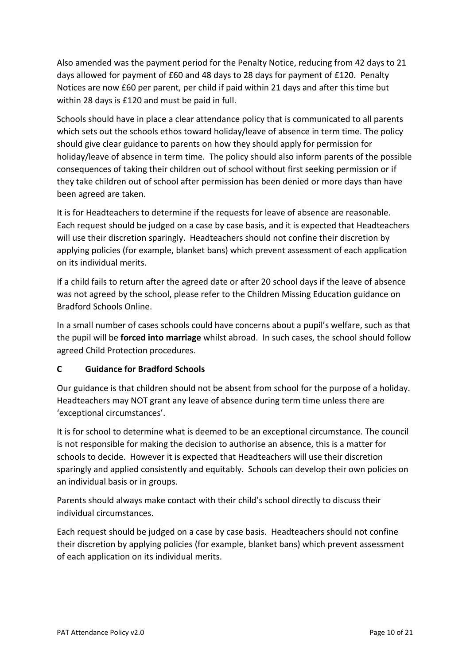Also amended was the payment period for the Penalty Notice, reducing from 42 days to 21 days allowed for payment of £60 and 48 days to 28 days for payment of £120. Penalty Notices are now £60 per parent, per child if paid within 21 days and after this time but within 28 days is £120 and must be paid in full.

Schools should have in place a clear attendance policy that is communicated to all parents which sets out the schools ethos toward holiday/leave of absence in term time. The policy should give clear guidance to parents on how they should apply for permission for holiday/leave of absence in term time. The policy should also inform parents of the possible consequences of taking their children out of school without first seeking permission or if they take children out of school after permission has been denied or more days than have been agreed are taken.

It is for Headteachers to determine if the requests for leave of absence are reasonable. Each request should be judged on a case by case basis, and it is expected that Headteachers will use their discretion sparingly. Headteachers should not confine their discretion by applying policies (for example, blanket bans) which prevent assessment of each application on its individual merits.

If a child fails to return after the agreed date or after 20 school days if the leave of absence was not agreed by the school, please refer to the Children Missing Education guidance on Bradford Schools Online.

In a small number of cases schools could have concerns about a pupil's welfare, such as that the pupil will be **forced into marriage** whilst abroad. In such cases, the school should follow agreed Child Protection procedures.

# **C Guidance for Bradford Schools**

Our guidance is that children should not be absent from school for the purpose of a holiday. Headteachers may NOT grant any leave of absence during term time unless there are 'exceptional circumstances'.

It is for school to determine what is deemed to be an exceptional circumstance. The council is not responsible for making the decision to authorise an absence, this is a matter for schools to decide. However it is expected that Headteachers will use their discretion sparingly and applied consistently and equitably. Schools can develop their own policies on an individual basis or in groups.

Parents should always make contact with their child's school directly to discuss their individual circumstances.

Each request should be judged on a case by case basis. Headteachers should not confine their discretion by applying policies (for example, blanket bans) which prevent assessment of each application on its individual merits.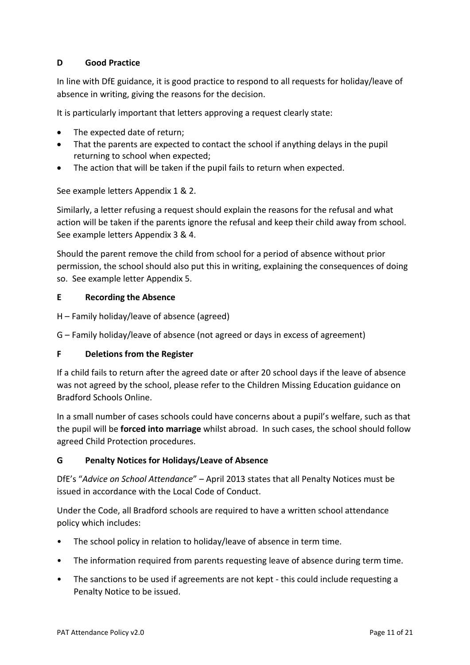# **D Good Practice**

In line with DfE guidance, it is good practice to respond to all requests for holiday/leave of absence in writing, giving the reasons for the decision.

It is particularly important that letters approving a request clearly state:

- The expected date of return;
- That the parents are expected to contact the school if anything delays in the pupil returning to school when expected;
- The action that will be taken if the pupil fails to return when expected.

See example letters Appendix 1 & 2.

Similarly, a letter refusing a request should explain the reasons for the refusal and what action will be taken if the parents ignore the refusal and keep their child away from school. See example letters Appendix 3 & 4.

Should the parent remove the child from school for a period of absence without prior permission, the school should also put this in writing, explaining the consequences of doing so. See example letter Appendix 5.

#### **E Recording the Absence**

- H Family holiday/leave of absence (agreed)
- G Family holiday/leave of absence (not agreed or days in excess of agreement)

#### **F Deletions from the Register**

If a child fails to return after the agreed date or after 20 school days if the leave of absence was not agreed by the school, please refer to the Children Missing Education guidance on Bradford Schools Online.

In a small number of cases schools could have concerns about a pupil's welfare, such as that the pupil will be **forced into marriage** whilst abroad. In such cases, the school should follow agreed Child Protection procedures.

#### **G Penalty Notices for Holidays/Leave of Absence**

DfE's "*Advice on School Attendance*" – April 2013 states that all Penalty Notices must be issued in accordance with the Local Code of Conduct.

Under the Code, all Bradford schools are required to have a written school attendance policy which includes:

- The school policy in relation to holiday/leave of absence in term time.
- The information required from parents requesting leave of absence during term time.
- The sanctions to be used if agreements are not kept this could include requesting a Penalty Notice to be issued.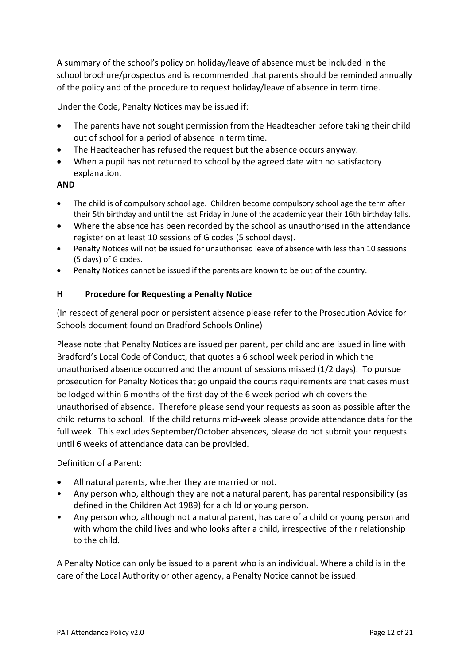A summary of the school's policy on holiday/leave of absence must be included in the school brochure/prospectus and is recommended that parents should be reminded annually of the policy and of the procedure to request holiday/leave of absence in term time.

Under the Code, Penalty Notices may be issued if:

- The parents have not sought permission from the Headteacher before taking their child out of school for a period of absence in term time.
- The Headteacher has refused the request but the absence occurs anyway.
- When a pupil has not returned to school by the agreed date with no satisfactory explanation.

#### **AND**

- The child is of compulsory school age. Children become compulsory school age the term after their 5th birthday and until the last Friday in June of the academic year their 16th birthday falls.
- Where the absence has been recorded by the school as unauthorised in the attendance register on at least 10 sessions of G codes (5 school days).
- Penalty Notices will not be issued for unauthorised leave of absence with less than 10 sessions (5 days) of G codes.
- Penalty Notices cannot be issued if the parents are known to be out of the country.

#### **H Procedure for Requesting a Penalty Notice**

(In respect of general poor or persistent absence please refer to the Prosecution Advice for Schools document found on Bradford Schools Online)

Please note that Penalty Notices are issued per parent, per child and are issued in line with Bradford's Local Code of Conduct, that quotes a 6 school week period in which the unauthorised absence occurred and the amount of sessions missed (1/2 days). To pursue prosecution for Penalty Notices that go unpaid the courts requirements are that cases must be lodged within 6 months of the first day of the 6 week period which covers the unauthorised of absence. Therefore please send your requests as soon as possible after the child returns to school. If the child returns mid-week please provide attendance data for the full week. This excludes September/October absences, please do not submit your requests until 6 weeks of attendance data can be provided.

Definition of a Parent:

- All natural parents, whether they are married or not.
- Any person who, although they are not a natural parent, has parental responsibility (as defined in the Children Act 1989) for a child or young person.
- Any person who, although not a natural parent, has care of a child or young person and with whom the child lives and who looks after a child, irrespective of their relationship to the child.

A Penalty Notice can only be issued to a parent who is an individual. Where a child is in the care of the Local Authority or other agency, a Penalty Notice cannot be issued.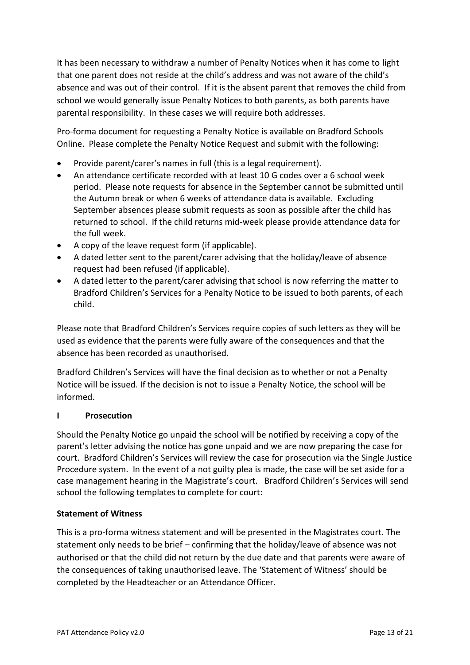It has been necessary to withdraw a number of Penalty Notices when it has come to light that one parent does not reside at the child's address and was not aware of the child's absence and was out of their control. If it is the absent parent that removes the child from school we would generally issue Penalty Notices to both parents, as both parents have parental responsibility. In these cases we will require both addresses.

Pro-forma document for requesting a Penalty Notice is available on Bradford Schools Online. Please complete the Penalty Notice Request and submit with the following:

- Provide parent/carer's names in full (this is a legal requirement).
- An attendance certificate recorded with at least 10 G codes over a 6 school week period. Please note requests for absence in the September cannot be submitted until the Autumn break or when 6 weeks of attendance data is available. Excluding September absences please submit requests as soon as possible after the child has returned to school. If the child returns mid-week please provide attendance data for the full week.
- A copy of the leave request form (if applicable).
- A dated letter sent to the parent/carer advising that the holiday/leave of absence request had been refused (if applicable).
- A dated letter to the parent/carer advising that school is now referring the matter to Bradford Children's Services for a Penalty Notice to be issued to both parents, of each child.

Please note that Bradford Children's Services require copies of such letters as they will be used as evidence that the parents were fully aware of the consequences and that the absence has been recorded as unauthorised.

Bradford Children's Services will have the final decision as to whether or not a Penalty Notice will be issued. If the decision is not to issue a Penalty Notice, the school will be informed.

# **I Prosecution**

Should the Penalty Notice go unpaid the school will be notified by receiving a copy of the parent's letter advising the notice has gone unpaid and we are now preparing the case for court. Bradford Children's Services will review the case for prosecution via the Single Justice Procedure system. In the event of a not guilty plea is made, the case will be set aside for a case management hearing in the Magistrate's court. Bradford Children's Services will send school the following templates to complete for court:

# **Statement of Witness**

This is a pro-forma witness statement and will be presented in the Magistrates court. The statement only needs to be brief – confirming that the holiday/leave of absence was not authorised or that the child did not return by the due date and that parents were aware of the consequences of taking unauthorised leave. The 'Statement of Witness' should be completed by the Headteacher or an Attendance Officer.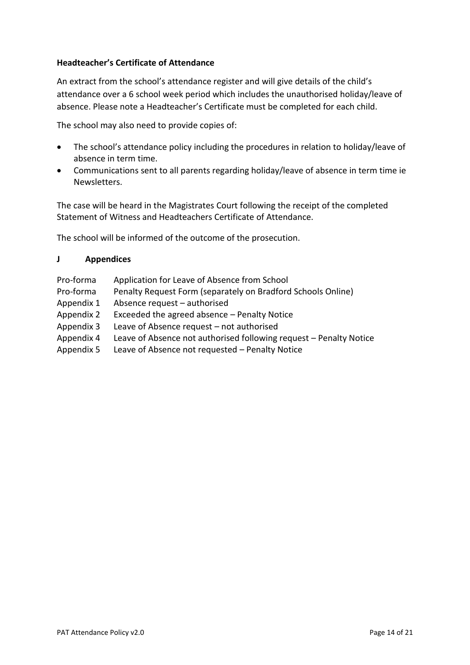### **Headteacher's Certificate of Attendance**

An extract from the school's attendance register and will give details of the child's attendance over a 6 school week period which includes the unauthorised holiday/leave of absence. Please note a Headteacher's Certificate must be completed for each child.

The school may also need to provide copies of:

- The school's attendance policy including the procedures in relation to holiday/leave of absence in term time.
- Communications sent to all parents regarding holiday/leave of absence in term time ie Newsletters.

The case will be heard in the Magistrates Court following the receipt of the completed Statement of Witness and Headteachers Certificate of Attendance.

The school will be informed of the outcome of the prosecution.

### **J Appendices**

- Pro-forma Application for Leave of Absence from School
- Pro-forma Penalty Request Form (separately on Bradford Schools Online)
- Appendix 1 Absence request authorised
- Appendix 2 Exceeded the agreed absence Penalty Notice
- Appendix 3 Leave of Absence request not authorised
- Appendix 4 Leave of Absence not authorised following request Penalty Notice
- Appendix 5 Leave of Absence not requested Penalty Notice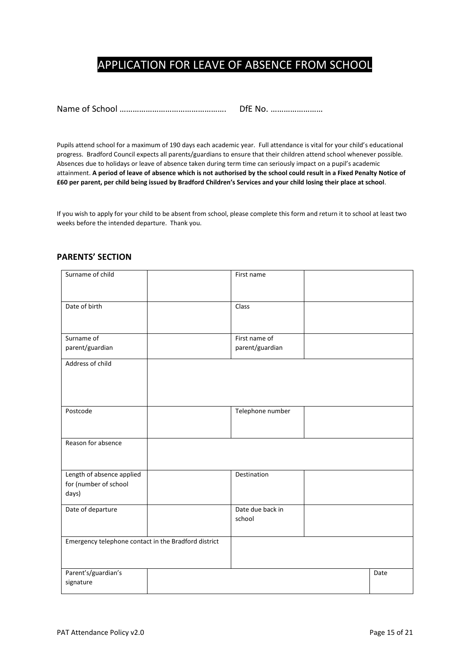# APPLICATION FOR LEAVE OF ABSENCE FROM SCHOOL

Name of School …………………………………………. DfE No. ……………………

Pupils attend school for a maximum of 190 days each academic year. Full attendance is vital for your child's educational progress. Bradford Council expects all parents/guardians to ensure that their children attend school whenever possible. Absences due to holidays or leave of absence taken during term time can seriously impact on a pupil's academic attainment. **A period of leave of absence which is not authorised by the school could result in a Fixed Penalty Notice of £60 per parent, per child being issued by Bradford Children's Services and your child losing their place at school**.

If you wish to apply for your child to be absent from school, please complete this form and return it to school at least two weeks before the intended departure. Thank you.

| Surname of child                                            | First name                 |      |
|-------------------------------------------------------------|----------------------------|------|
| Date of birth                                               | Class                      |      |
| Surname of                                                  | First name of              |      |
| parent/guardian                                             | parent/guardian            |      |
| Address of child                                            |                            |      |
| Postcode                                                    | Telephone number           |      |
| Reason for absence                                          |                            |      |
| Length of absence applied<br>for (number of school<br>days) | Destination                |      |
| Date of departure                                           | Date due back in<br>school |      |
| Emergency telephone contact in the Bradford district        |                            |      |
| Parent's/guardian's<br>signature                            |                            | Date |

#### **PARENTS' SECTION**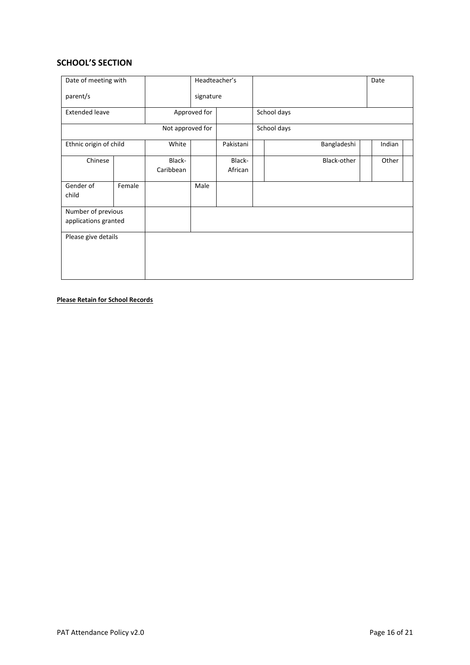#### **SCHOOL'S SECTION**

| Date of meeting with                       |        |                     | Headteacher's |                   |             |             |  | Date   |  |
|--------------------------------------------|--------|---------------------|---------------|-------------------|-------------|-------------|--|--------|--|
| parent/s                                   |        |                     | signature     |                   |             |             |  |        |  |
| <b>Extended leave</b>                      |        |                     | Approved for  |                   | School days |             |  |        |  |
|                                            |        | Not approved for    |               |                   | School days |             |  |        |  |
| Ethnic origin of child                     |        | White               |               | Pakistani         |             | Bangladeshi |  | Indian |  |
| Chinese                                    |        | Black-<br>Caribbean |               | Black-<br>African |             | Black-other |  | Other  |  |
| Gender of<br>child                         | Female |                     | Male          |                   |             |             |  |        |  |
| Number of previous<br>applications granted |        |                     |               |                   |             |             |  |        |  |
| Please give details                        |        |                     |               |                   |             |             |  |        |  |

#### **Please Retain for School Records**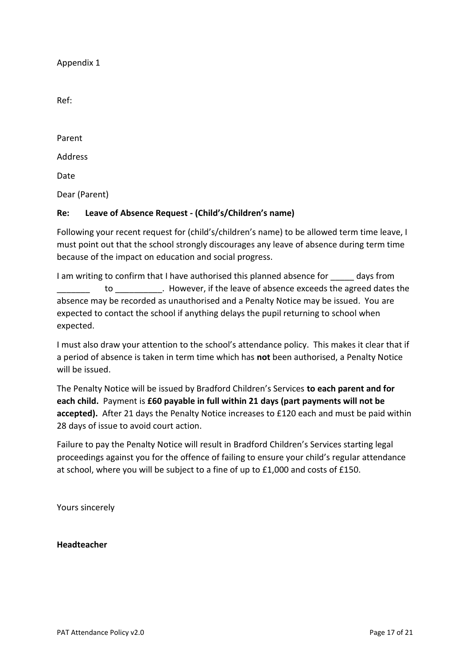Ref:

Parent Address Date Dear (Parent)

# **Re: Leave of Absence Request - (Child's/Children's name)**

Following your recent request for (child's/children's name) to be allowed term time leave, I must point out that the school strongly discourages any leave of absence during term time because of the impact on education and social progress.

I am writing to confirm that I have authorised this planned absence for days from to to by the Wever, if the leave of absence exceeds the agreed dates the state in the state of absence exceeds the agreed dates the absence may be recorded as unauthorised and a Penalty Notice may be issued. You are expected to contact the school if anything delays the pupil returning to school when expected.

I must also draw your attention to the school's attendance policy. This makes it clear that if a period of absence is taken in term time which has **not** been authorised, a Penalty Notice will be issued.

The Penalty Notice will be issued by Bradford Children's Services **to each parent and for each child.** Payment is **£60 payable in full within 21 days (part payments will not be accepted).** After 21 days the Penalty Notice increases to £120 each and must be paid within 28 days of issue to avoid court action.

Failure to pay the Penalty Notice will result in Bradford Children's Services starting legal proceedings against you for the offence of failing to ensure your child's regular attendance at school, where you will be subject to a fine of up to £1,000 and costs of £150.

Yours sincerely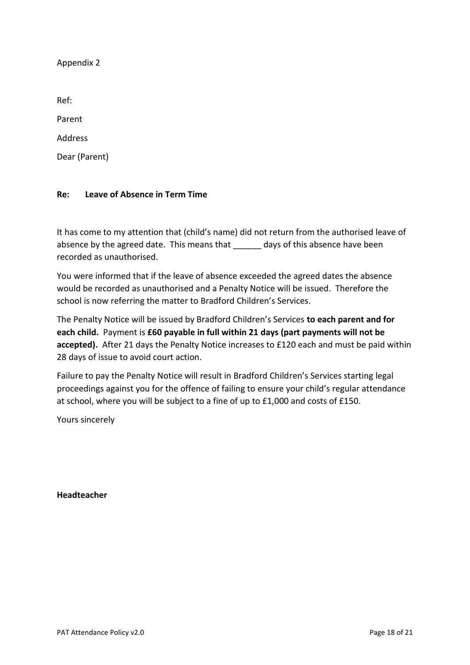Ref: Parent Address

Dear (Parent)

### **Re: Leave of Absence in Term Time**

It has come to my attention that (child's name) did not return from the authorised leave of absence by the agreed date. This means that \_\_\_\_\_\_ days of this absence have been recorded as unauthorised.

You were informed that if the leave of absence exceeded the agreed dates the absence would be recorded as unauthorised and a Penalty Notice will be issued. Therefore the school is now referring the matter to Bradford Children's Services.

The Penalty Notice will be issued by Bradford Children's Services **to each parent and for each child.** Payment is **£60 payable in full within 21 days (part payments will not be accepted).** After 21 days the Penalty Notice increases to £120 each and must be paid within 28 days of issue to avoid court action.

Failure to pay the Penalty Notice will result in Bradford Children's Services starting legal proceedings against you for the offence of failing to ensure your child's regular attendance at school, where you will be subject to a fine of up to £1,000 and costs of £150.

Yours sincerely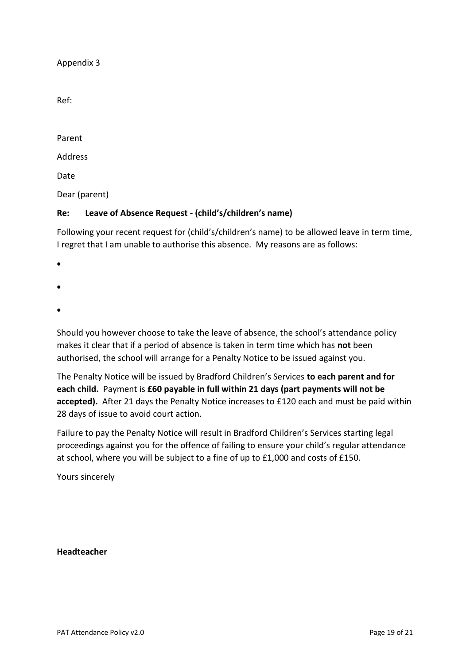Ref:

Parent

Address

Date

Dear (parent)

# **Re: Leave of Absence Request - (child's/children's name)**

Following your recent request for (child's/children's name) to be allowed leave in term time, I regret that I am unable to authorise this absence. My reasons are as follows:

- •
- 
- •
- •

Should you however choose to take the leave of absence, the school's attendance policy makes it clear that if a period of absence is taken in term time which has **not** been authorised, the school will arrange for a Penalty Notice to be issued against you.

The Penalty Notice will be issued by Bradford Children's Services **to each parent and for each child.** Payment is **£60 payable in full within 21 days (part payments will not be accepted).** After 21 days the Penalty Notice increases to £120 each and must be paid within 28 days of issue to avoid court action.

Failure to pay the Penalty Notice will result in Bradford Children's Services starting legal proceedings against you for the offence of failing to ensure your child's regular attendance at school, where you will be subject to a fine of up to £1,000 and costs of £150.

Yours sincerely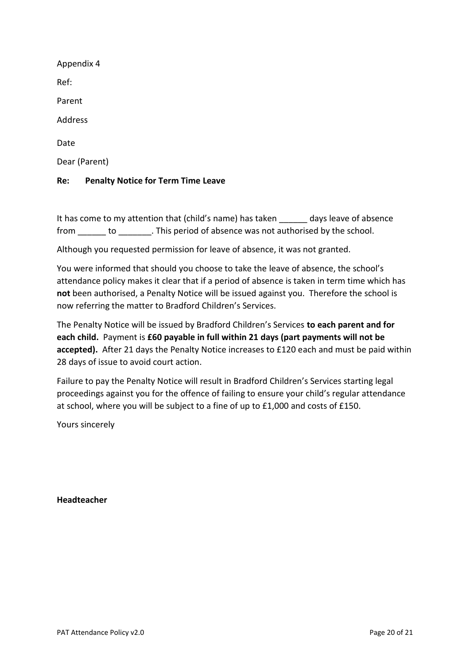| Appendix 4    |
|---------------|
| Ref:          |
| Parent        |
| Address       |
| Date          |
| Dear (Parent) |
|               |

### **Re: Penalty Notice for Term Time Leave**

It has come to my attention that (child's name) has taken days leave of absence from to the straight of absence was not authorised by the school.

Although you requested permission for leave of absence, it was not granted.

You were informed that should you choose to take the leave of absence, the school's attendance policy makes it clear that if a period of absence is taken in term time which has **not** been authorised, a Penalty Notice will be issued against you. Therefore the school is now referring the matter to Bradford Children's Services.

The Penalty Notice will be issued by Bradford Children's Services **to each parent and for each child.** Payment is **£60 payable in full within 21 days (part payments will not be accepted).** After 21 days the Penalty Notice increases to £120 each and must be paid within 28 days of issue to avoid court action.

Failure to pay the Penalty Notice will result in Bradford Children's Services starting legal proceedings against you for the offence of failing to ensure your child's regular attendance at school, where you will be subject to a fine of up to £1,000 and costs of £150.

Yours sincerely